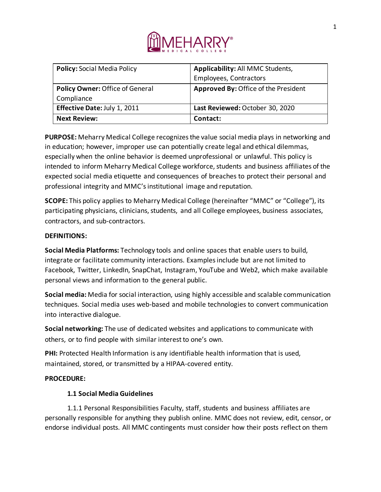

| <b>Policy: Social Media Policy</b>     | Applicability: All MMC Students,     |
|----------------------------------------|--------------------------------------|
|                                        | <b>Employees, Contractors</b>        |
| <b>Policy Owner: Office of General</b> | Approved By: Office of the President |
| Compliance                             |                                      |
| Effective Date: July 1, 2011           | Last Reviewed: October 30, 2020      |
| <b>Next Review:</b>                    | Contact:                             |

**PURPOSE:** Meharry Medical College recognizes the value social media plays in networking and in education; however, improper use can potentially create legal and ethical dilemmas, especially when the online behavior is deemed unprofessional or unlawful. This policy is intended to inform Meharry Medical College workforce, students and business affiliates of the expected social media etiquette and consequences of breaches to protect their personal and professional integrity and MMC's institutional image and reputation.

**SCOPE:** This policy applies to Meharry Medical College (hereinafter "MMC" or "College"), its participating physicians, clinicians, students, and all College employees, business associates, contractors, and sub-contractors.

## **DEFINITIONS:**

**Social Media Platforms:** Technology tools and online spaces that enable users to build, integrate or facilitate community interactions. Examples include but are not limited to Facebook, Twitter, LinkedIn, SnapChat, Instagram, YouTube and Web2, which make available personal views and information to the general public.

**Social media:** Media for social interaction, using highly accessible and scalable communication techniques. Social media uses web-based and mobile technologies to convert communication into interactive dialogue.

**Social networking:** The use of dedicated websites and applications to communicate with others, or to find people with similar interest to one's own.

**PHI:** Protected Health Information is any identifiable health information that is used, maintained, stored, or transmitted by a HIPAA-covered entity.

# **PROCEDURE:**

# **1.1 Social Media Guidelines**

1.1.1 Personal Responsibilities Faculty, staff, students and business affiliates are personally responsible for anything they publish online. MMC does not review, edit, censor, or endorse individual posts. All MMC contingents must consider how their posts reflect on them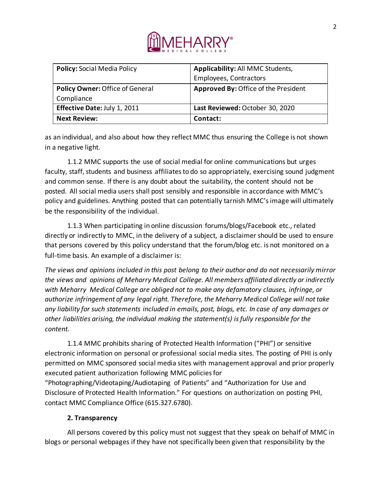

| <b>Policy: Social Media Policy</b> | Applicability: All MMC Students,     |
|------------------------------------|--------------------------------------|
|                                    | <b>Employees, Contractors</b>        |
| Policy Owner: Office of General    | Approved By: Office of the President |
| Compliance                         |                                      |
| Effective Date: July 1, 2011       | Last Reviewed: October 30, 2020      |
| <b>Next Review:</b>                | Contact:                             |

as an individual, and also about how they reflect MMC thus ensuring the College is not shown in a negative light.

1.1.2 MMC supports the use of social medial for online communications but urges faculty, staff, students and business affiliates to do so appropriately, exercising sound judgment and common sense. If there is any doubt about the suitability, the content should not be posted. All social media users shall post sensibly and responsible in accordance with MMC's policy and guidelines. Anything posted that can potentially tarnish MMC's image will ultimately be the responsibility of the individual.

1.1.3 When participating in online discussion forums/blogs/Facebook etc., related directly or indirectly to MMC, in the delivery of a subject, a disclaimer should be used to ensure that persons covered by this policy understand that the forum/blog etc. is not monitored on a full-time basis. An example of a disclaimer is:

*The views and opinions included in this post belong to their author and do not necessarily mirror the views and opinions of Meharry Medical College. All members affiliated directly or indirectly with Meharry Medical College are obliged not to make any defamatory clauses, infringe, or authorize infringement of any legal right. Therefore, the Meharry Medical College will not take any liability for such statements included in emails, post, blogs, etc. In case of any damages or other liabilities arising, the individual making the statement(s) is fully responsible for the content.*

1.1.4 MMC prohibits sharing of Protected Health Information ("PHI") or sensitive electronic information on personal or professional social media sites. The posting of PHI is only permitted on MMC sponsored social media sites with management approval and prior properly executed patient authorization following MMC policies for

"Photographing/Videotaping/Audiotaping of Patients" and "Authorization for Use and Disclosure of Protected Health Information." For questions on authorization on posting PHI, contact MMC Compliance Office (615.327.6780).

# **2. Transparency**

All persons covered by this policy must not suggest that they speak on behalf of MMC in blogs or personal webpages if they have not specifically been given that responsibility by the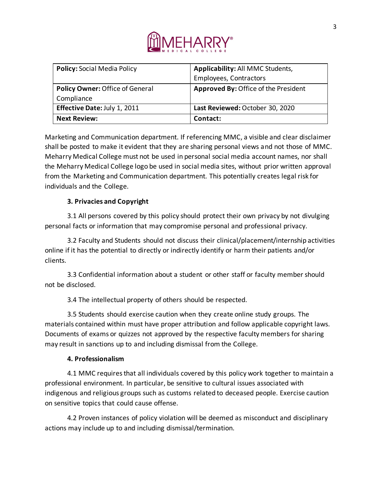

| <b>Policy: Social Media Policy</b>     | Applicability: All MMC Students,     |
|----------------------------------------|--------------------------------------|
|                                        | <b>Employees, Contractors</b>        |
| <b>Policy Owner: Office of General</b> | Approved By: Office of the President |
| Compliance                             |                                      |
| Effective Date: July 1, 2011           | Last Reviewed: October 30, 2020      |
| <b>Next Review:</b>                    | Contact:                             |

Marketing and Communication department. If referencing MMC, a visible and clear disclaimer shall be posted to make it evident that they are sharing personal views and not those of MMC. Meharry Medical College must not be used in personal social media account names, nor shall the Meharry Medical College logo be used in social media sites, without prior written approval from the Marketing and Communication department. This potentially creates legal risk for individuals and the College.

# **3. Privacies and Copyright**

3.1 All persons covered by this policy should protect their own privacy by not divulging personal facts or information that may compromise personal and professional privacy.

3.2 Faculty and Students should not discuss their clinical/placement/internship activities online if it has the potential to directly or indirectly identify or harm their patients and/or clients.

3.3 Confidential information about a student or other staff or faculty member should not be disclosed.

3.4 The intellectual property of others should be respected.

3.5 Students should exercise caution when they create online study groups. The materials contained within must have proper attribution and follow applicable copyright laws. Documents of exams or quizzes not approved by the respective faculty members for sharing may result in sanctions up to and including dismissal from the College.

# **4. Professionalism**

4.1 MMC requires that all individuals covered by this policy work together to maintain a professional environment. In particular, be sensitive to cultural issues associated with indigenous and religious groups such as customs related to deceased people. Exercise caution on sensitive topics that could cause offense.

4.2 Proven instances of policy violation will be deemed as misconduct and disciplinary actions may include up to and including dismissal/termination.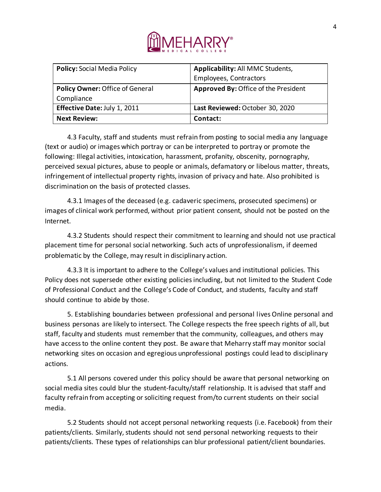

| <b>Policy: Social Media Policy</b>     | Applicability: All MMC Students,     |
|----------------------------------------|--------------------------------------|
|                                        | <b>Employees, Contractors</b>        |
| <b>Policy Owner: Office of General</b> | Approved By: Office of the President |
| Compliance                             |                                      |
| Effective Date: July 1, 2011           | Last Reviewed: October 30, 2020      |
| <b>Next Review:</b>                    | Contact:                             |

4.3 Faculty, staff and students must refrain from posting to social media any language (text or audio) or images which portray or can be interpreted to portray or promote the following: Illegal activities, intoxication, harassment, profanity, obscenity, pornography, perceived sexual pictures, abuse to people or animals, defamatory or libelous matter, threats, infringement of intellectual property rights, invasion of privacy and hate. Also prohibited is discrimination on the basis of protected classes.

4.3.1 Images of the deceased (e.g. cadaveric specimens, prosecuted specimens) or images of clinical work performed, without prior patient consent, should not be posted on the Internet.

4.3.2 Students should respect their commitment to learning and should not use practical placement time for personal social networking. Such acts of unprofessionalism, if deemed problematic by the College, may result in disciplinary action.

4.3.3 It is important to adhere to the College's values and institutional policies. This Policy does not supersede other existing policies including, but not limited to the Student Code of Professional Conduct and the College's Code of Conduct, and students, faculty and staff should continue to abide by those.

5. Establishing boundaries between professional and personal lives Online personal and business personas are likely to intersect. The College respects the free speech rights of all, but staff, faculty and students must remember that the community, colleagues, and others may have access to the online content they post. Be aware that Meharry staff may monitor social networking sites on occasion and egregious unprofessional postings could lead to disciplinary actions.

5.1 All persons covered under this policy should be aware that personal networking on social media sites could blur the student-faculty/staff relationship. It is advised that staff and faculty refrain from accepting or soliciting request from/to current students on their social media.

5.2 Students should not accept personal networking requests (i.e. Facebook) from their patients/clients. Similarly, students should not send personal networking requests to their patients/clients. These types of relationships can blur professional patient/client boundaries.